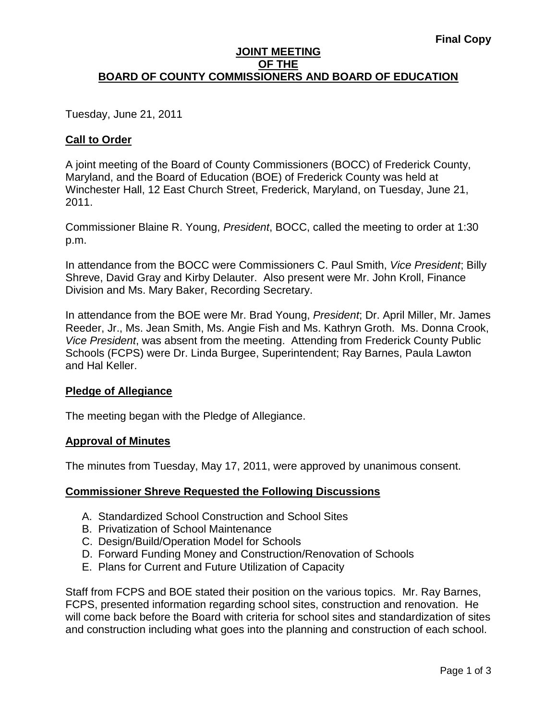## **JOINT MEETING OF THE BOARD OF COUNTY COMMISSIONERS AND BOARD OF EDUCATION**

Tuesday, June 21, 2011

# **Call to Order**

A joint meeting of the Board of County Commissioners (BOCC) of Frederick County, Maryland, and the Board of Education (BOE) of Frederick County was held at Winchester Hall, 12 East Church Street, Frederick, Maryland, on Tuesday, June 21, 2011.

Commissioner Blaine R. Young, *President*, BOCC, called the meeting to order at 1:30 p.m.

In attendance from the BOCC were Commissioners C. Paul Smith, *Vice President*; Billy Shreve, David Gray and Kirby Delauter. Also present were Mr. John Kroll, Finance Division and Ms. Mary Baker, Recording Secretary.

In attendance from the BOE were Mr. Brad Young, *President*; Dr. April Miller, Mr. James Reeder, Jr., Ms. Jean Smith, Ms. Angie Fish and Ms. Kathryn Groth. Ms. Donna Crook, *Vice President*, was absent from the meeting. Attending from Frederick County Public Schools (FCPS) were Dr. Linda Burgee, Superintendent; Ray Barnes, Paula Lawton and Hal Keller.

## **Pledge of Allegiance**

The meeting began with the Pledge of Allegiance.

## **Approval of Minutes**

The minutes from Tuesday, May 17, 2011, were approved by unanimous consent.

## **Commissioner Shreve Requested the Following Discussions**

- A. Standardized School Construction and School Sites
- B. Privatization of School Maintenance
- C. Design/Build/Operation Model for Schools
- D. Forward Funding Money and Construction/Renovation of Schools
- E. Plans for Current and Future Utilization of Capacity

Staff from FCPS and BOE stated their position on the various topics. Mr. Ray Barnes, FCPS, presented information regarding school sites, construction and renovation. He will come back before the Board with criteria for school sites and standardization of sites and construction including what goes into the planning and construction of each school.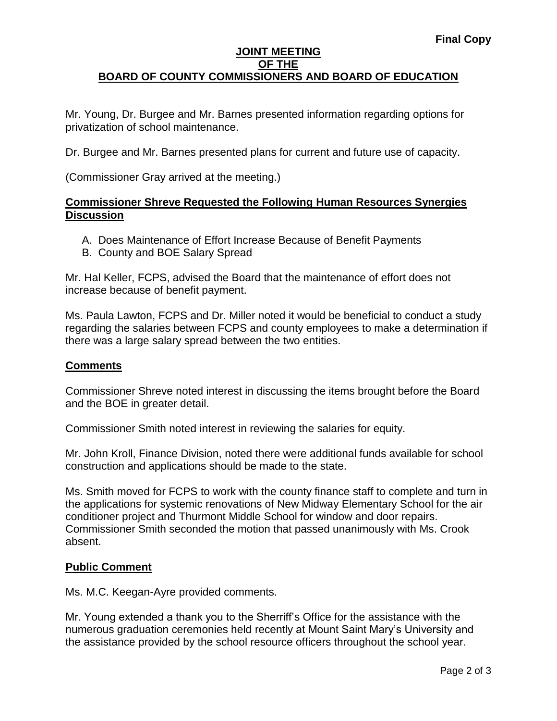## **JOINT MEETING OF THE BOARD OF COUNTY COMMISSIONERS AND BOARD OF EDUCATION**

Mr. Young, Dr. Burgee and Mr. Barnes presented information regarding options for privatization of school maintenance.

Dr. Burgee and Mr. Barnes presented plans for current and future use of capacity.

(Commissioner Gray arrived at the meeting.)

## **Commissioner Shreve Requested the Following Human Resources Synergies Discussion**

- A. Does Maintenance of Effort Increase Because of Benefit Payments
- B. County and BOE Salary Spread

Mr. Hal Keller, FCPS, advised the Board that the maintenance of effort does not increase because of benefit payment.

Ms. Paula Lawton, FCPS and Dr. Miller noted it would be beneficial to conduct a study regarding the salaries between FCPS and county employees to make a determination if there was a large salary spread between the two entities.

## **Comments**

Commissioner Shreve noted interest in discussing the items brought before the Board and the BOE in greater detail.

Commissioner Smith noted interest in reviewing the salaries for equity.

Mr. John Kroll, Finance Division, noted there were additional funds available for school construction and applications should be made to the state.

Ms. Smith moved for FCPS to work with the county finance staff to complete and turn in the applications for systemic renovations of New Midway Elementary School for the air conditioner project and Thurmont Middle School for window and door repairs. Commissioner Smith seconded the motion that passed unanimously with Ms. Crook absent.

## **Public Comment**

Ms. M.C. Keegan-Ayre provided comments.

Mr. Young extended a thank you to the Sherriff's Office for the assistance with the numerous graduation ceremonies held recently at Mount Saint Mary's University and the assistance provided by the school resource officers throughout the school year.